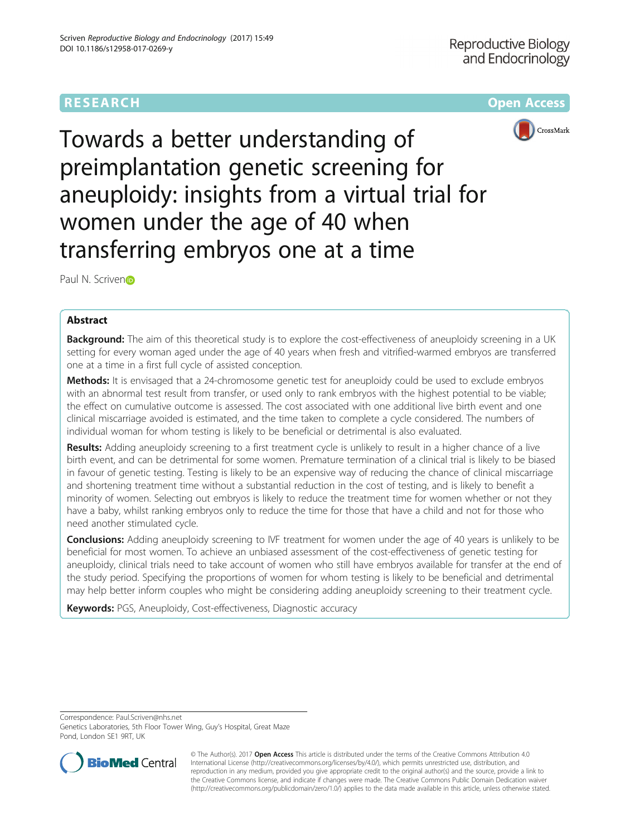# RESEARCH **RESEARCH CONSUMING THE CONSUMING THE CONSUMING TEAM CONSUMING THE CONSUMING TEAM OPEN Access**



Towards a better understanding of preimplantation genetic screening for aneuploidy: insights from a virtual trial for women under the age of 40 when transferring embryos one at a time

Paul N. Scriven®

# Abstract

Background: The aim of this theoretical study is to explore the cost-effectiveness of aneuploidy screening in a UK setting for every woman aged under the age of 40 years when fresh and vitrified-warmed embryos are transferred one at a time in a first full cycle of assisted conception.

Methods: It is envisaged that a 24-chromosome genetic test for aneuploidy could be used to exclude embryos with an abnormal test result from transfer, or used only to rank embryos with the highest potential to be viable; the effect on cumulative outcome is assessed. The cost associated with one additional live birth event and one clinical miscarriage avoided is estimated, and the time taken to complete a cycle considered. The numbers of individual woman for whom testing is likely to be beneficial or detrimental is also evaluated.

Results: Adding aneuploidy screening to a first treatment cycle is unlikely to result in a higher chance of a live birth event, and can be detrimental for some women. Premature termination of a clinical trial is likely to be biased in favour of genetic testing. Testing is likely to be an expensive way of reducing the chance of clinical miscarriage and shortening treatment time without a substantial reduction in the cost of testing, and is likely to benefit a minority of women. Selecting out embryos is likely to reduce the treatment time for women whether or not they have a baby, whilst ranking embryos only to reduce the time for those that have a child and not for those who need another stimulated cycle.

**Conclusions:** Adding aneuploidy screening to IVF treatment for women under the age of 40 years is unlikely to be beneficial for most women. To achieve an unbiased assessment of the cost-effectiveness of genetic testing for aneuploidy, clinical trials need to take account of women who still have embryos available for transfer at the end of the study period. Specifying the proportions of women for whom testing is likely to be beneficial and detrimental may help better inform couples who might be considering adding aneuploidy screening to their treatment cycle.

**Keywords:** PGS, Aneuploidy, Cost-effectiveness, Diagnostic accuracy

Correspondence: [Paul.Scriven@nhs.net](mailto:Paul.Scriven@nhs.net)

Genetics Laboratories, 5th Floor Tower Wing, Guy's Hospital, Great Maze Pond, London SE1 9RT, UK



© The Author(s). 2017 **Open Access** This article is distributed under the terms of the Creative Commons Attribution 4.0 International License [\(http://creativecommons.org/licenses/by/4.0/](http://creativecommons.org/licenses/by/4.0/)), which permits unrestricted use, distribution, and reproduction in any medium, provided you give appropriate credit to the original author(s) and the source, provide a link to the Creative Commons license, and indicate if changes were made. The Creative Commons Public Domain Dedication waiver [\(http://creativecommons.org/publicdomain/zero/1.0/](http://creativecommons.org/publicdomain/zero/1.0/)) applies to the data made available in this article, unless otherwise stated.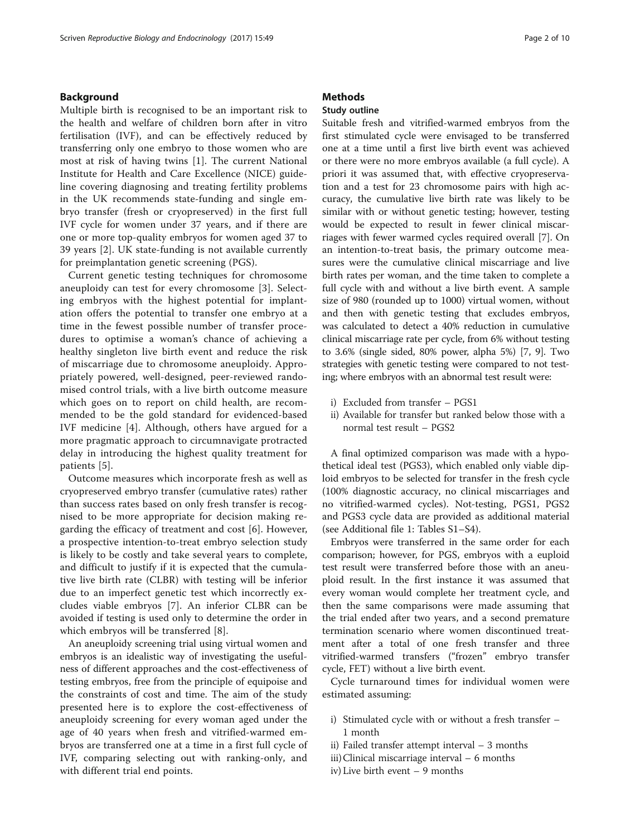### Background

Multiple birth is recognised to be an important risk to the health and welfare of children born after in vitro fertilisation (IVF), and can be effectively reduced by transferring only one embryo to those women who are most at risk of having twins [\[1](#page-9-0)]. The current National Institute for Health and Care Excellence (NICE) guideline covering diagnosing and treating fertility problems in the UK recommends state-funding and single embryo transfer (fresh or cryopreserved) in the first full IVF cycle for women under 37 years, and if there are one or more top-quality embryos for women aged 37 to 39 years [[2\]](#page-9-0). UK state-funding is not available currently for preimplantation genetic screening (PGS).

Current genetic testing techniques for chromosome aneuploidy can test for every chromosome [[3\]](#page-9-0). Selecting embryos with the highest potential for implantation offers the potential to transfer one embryo at a time in the fewest possible number of transfer procedures to optimise a woman's chance of achieving a healthy singleton live birth event and reduce the risk of miscarriage due to chromosome aneuploidy. Appropriately powered, well-designed, peer-reviewed randomised control trials, with a live birth outcome measure which goes on to report on child health, are recommended to be the gold standard for evidenced-based IVF medicine [\[4](#page-9-0)]. Although, others have argued for a more pragmatic approach to circumnavigate protracted delay in introducing the highest quality treatment for patients [\[5](#page-9-0)].

Outcome measures which incorporate fresh as well as cryopreserved embryo transfer (cumulative rates) rather than success rates based on only fresh transfer is recognised to be more appropriate for decision making regarding the efficacy of treatment and cost [\[6](#page-9-0)]. However, a prospective intention-to-treat embryo selection study is likely to be costly and take several years to complete, and difficult to justify if it is expected that the cumulative live birth rate (CLBR) with testing will be inferior due to an imperfect genetic test which incorrectly excludes viable embryos [[7\]](#page-9-0). An inferior CLBR can be avoided if testing is used only to determine the order in which embryos will be transferred [\[8](#page-9-0)].

An aneuploidy screening trial using virtual women and embryos is an idealistic way of investigating the usefulness of different approaches and the cost-effectiveness of testing embryos, free from the principle of equipoise and the constraints of cost and time. The aim of the study presented here is to explore the cost-effectiveness of aneuploidy screening for every woman aged under the age of 40 years when fresh and vitrified-warmed embryos are transferred one at a time in a first full cycle of IVF, comparing selecting out with ranking-only, and with different trial end points.

### **Methods**

### Study outline

Suitable fresh and vitrified-warmed embryos from the first stimulated cycle were envisaged to be transferred one at a time until a first live birth event was achieved or there were no more embryos available (a full cycle). A priori it was assumed that, with effective cryopreservation and a test for 23 chromosome pairs with high accuracy, the cumulative live birth rate was likely to be similar with or without genetic testing; however, testing would be expected to result in fewer clinical miscarriages with fewer warmed cycles required overall [\[7\]](#page-9-0). On an intention-to-treat basis, the primary outcome measures were the cumulative clinical miscarriage and live birth rates per woman, and the time taken to complete a full cycle with and without a live birth event. A sample size of 980 (rounded up to 1000) virtual women, without and then with genetic testing that excludes embryos, was calculated to detect a 40% reduction in cumulative clinical miscarriage rate per cycle, from 6% without testing to 3.6% (single sided, 80% power, alpha 5%) [\[7](#page-9-0), [9](#page-9-0)]. Two strategies with genetic testing were compared to not testing; where embryos with an abnormal test result were:

- i) Excluded from transfer PGS1
- ii) Available for transfer but ranked below those with a normal test result – PGS2

A final optimized comparison was made with a hypothetical ideal test (PGS3), which enabled only viable diploid embryos to be selected for transfer in the fresh cycle (100% diagnostic accuracy, no clinical miscarriages and no vitrified-warmed cycles). Not-testing, PGS1, PGS2 and PGS3 cycle data are provided as additional material (see Additional file [1:](#page-8-0) Tables S1–S4).

Embryos were transferred in the same order for each comparison; however, for PGS, embryos with a euploid test result were transferred before those with an aneuploid result. In the first instance it was assumed that every woman would complete her treatment cycle, and then the same comparisons were made assuming that the trial ended after two years, and a second premature termination scenario where women discontinued treatment after a total of one fresh transfer and three vitrified-warmed transfers ("frozen" embryo transfer cycle, FET) without a live birth event.

Cycle turnaround times for individual women were estimated assuming:

- i) Stimulated cycle with or without a fresh transfer 1 month
- ii) Failed transfer attempt interval 3 months
- iii)Clinical miscarriage interval 6 months
- iv) Live birth event 9 months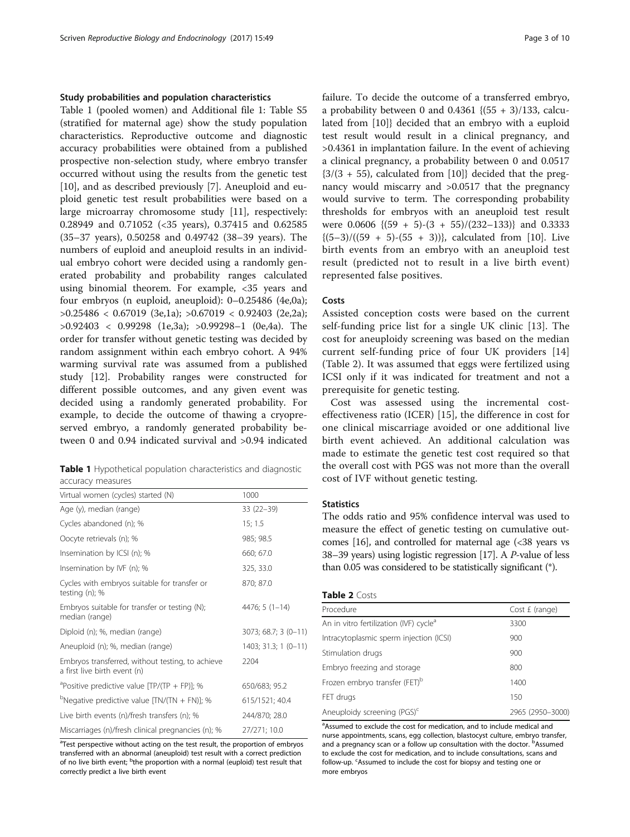### Study probabilities and population characteristics

Table 1 (pooled women) and Additional file [1:](#page-8-0) Table S5 (stratified for maternal age) show the study population characteristics. Reproductive outcome and diagnostic accuracy probabilities were obtained from a published prospective non-selection study, where embryo transfer occurred without using the results from the genetic test [[10\]](#page-9-0), and as described previously [[7\]](#page-9-0). Aneuploid and euploid genetic test result probabilities were based on a large microarray chromosome study [\[11](#page-9-0)], respectively: 0.28949 and 0.71052 (<35 years), 0.37415 and 0.62585 (35–37 years), 0.50258 and 0.49742 (38–39 years). The numbers of euploid and aneuploid results in an individual embryo cohort were decided using a randomly generated probability and probability ranges calculated using binomial theorem. For example, <35 years and four embryos (n euploid, aneuploid): 0–0.25486 (4e,0a); >0.25486 < 0.67019 (3e,1a); >0.67019 < 0.92403 (2e,2a); >0.92403 < 0.99298 (1e,3a); >0.99298–1 (0e,4a). The order for transfer without genetic testing was decided by random assignment within each embryo cohort. A 94% warming survival rate was assumed from a published study [\[12\]](#page-9-0). Probability ranges were constructed for different possible outcomes, and any given event was decided using a randomly generated probability. For example, to decide the outcome of thawing a cryopreserved embryo, a randomly generated probability between 0 and 0.94 indicated survival and >0.94 indicated

**Table 1** Hypothetical population characteristics and diagnostic accuracy measures

| Virtual women (cycles) started (N)                                               | 1000                   |
|----------------------------------------------------------------------------------|------------------------|
| Age (y), median (range)                                                          | 33 (22–39)             |
| Cycles abandoned (n); %                                                          | 15; 1.5                |
| Oocyte retrievals (n); %                                                         | 985; 98.5              |
| Insemination by ICSI (n); %                                                      | 660; 67.0              |
| Insemination by IVF (n); %                                                       | 325, 33.0              |
| Cycles with embryos suitable for transfer or<br>testing $(n)$ ; %                | 870; 87.0              |
| Embryos suitable for transfer or testing (N);<br>median (range)                  | $4476; 5(1-14)$        |
| Diploid (n); %, median (range)                                                   | 3073; 68.7; 3 (0-11)   |
| Aneuploid (n); %, median (range)                                                 | $1403; 31.3; 1 (0-11)$ |
| Embryos transferred, without testing, to achieve<br>a first live birth event (n) | 2204                   |
| $\text{P}$ Positive predictive value [TP/(TP + FP)]; %                           | 650/683; 95.2          |
| <sup>b</sup> Negative predictive value [TN/(TN + FN)]; %                         | 615/1521; 40.4         |
| Live birth events (n)/fresh transfers (n); %                                     | 244/870; 28.0          |
| Miscarriages (n)/fresh clinical pregnancies (n); %                               | 27/271; 10.0           |

<sup>a</sup>Test perspective without acting on the test result, the proportion of embryos transferred with an abnormal (aneuploid) test result with a correct prediction of no live birth event; <sup>b</sup>the proportion with a normal (euploid) test result that correctly predict a live birth event

failure. To decide the outcome of a transferred embryo, a probability between 0 and 0.4361  $\{(55 + 3)/133, \text{ calcu-}$ lated from [[10\]](#page-9-0)} decided that an embryo with a euploid test result would result in a clinical pregnancy, and >0.4361 in implantation failure. In the event of achieving a clinical pregnancy, a probability between 0 and 0.0517  ${3/(3 + 55)}$ , calculated from [[10](#page-9-0)]} decided that the pregnancy would miscarry and >0.0517 that the pregnancy would survive to term. The corresponding probability thresholds for embryos with an aneuploid test result were  $0.0606$  { $(59 + 5)-(3 + 55)/(232-133)$ } and 0.3333  $\{(5-3)/((59 + 5)-(55 + 3))\}$ , calculated from [\[10](#page-9-0)]. Live birth events from an embryo with an aneuploid test result (predicted not to result in a live birth event) represented false positives.

### Costs

Assisted conception costs were based on the current self-funding price list for a single UK clinic [\[13](#page-9-0)]. The cost for aneuploidy screening was based on the median current self-funding price of four UK providers [\[14](#page-9-0)] (Table 2). It was assumed that eggs were fertilized using ICSI only if it was indicated for treatment and not a prerequisite for genetic testing.

Cost was assessed using the incremental costeffectiveness ratio (ICER) [[15\]](#page-9-0), the difference in cost for one clinical miscarriage avoided or one additional live birth event achieved. An additional calculation was made to estimate the genetic test cost required so that the overall cost with PGS was not more than the overall cost of IVF without genetic testing.

### **Statistics**

The odds ratio and 95% confidence interval was used to measure the effect of genetic testing on cumulative outcomes [\[16\]](#page-9-0), and controlled for maternal age (<38 years vs 38–39 years) using logistic regression [\[17\]](#page-9-0). A P-value of less than 0.05 was considered to be statistically significant (\*).

| Table 2 Costs |  |  |
|---------------|--|--|
|---------------|--|--|

| Procedure                                          | Cost $E$ (range) |
|----------------------------------------------------|------------------|
| An in vitro fertilization (IVF) cycle <sup>a</sup> | 3300             |
| Intracytoplasmic sperm injection (ICSI)            | 900              |
| Stimulation drugs                                  | 900              |
| Embryo freezing and storage                        | 800              |
| Frozen embryo transfer (FET) <sup>b</sup>          | 1400             |
| FET drugs                                          | 150              |
| Aneuploidy screening (PGS) <sup>c</sup>            | 2965 (2950-3000) |

<sup>a</sup> Assumed to exclude the cost for medication, and to include medical and nurse appointments, scans, egg collection, blastocyst culture, embryo transfer, and a pregnancy scan or a follow up consultation with the doctor. <sup>b</sup>Assumed to exclude the cost for medication, and to include consultations, scans and follow-up. <sup>c</sup>Assumed to include the cost for biopsy and testing one or more embryos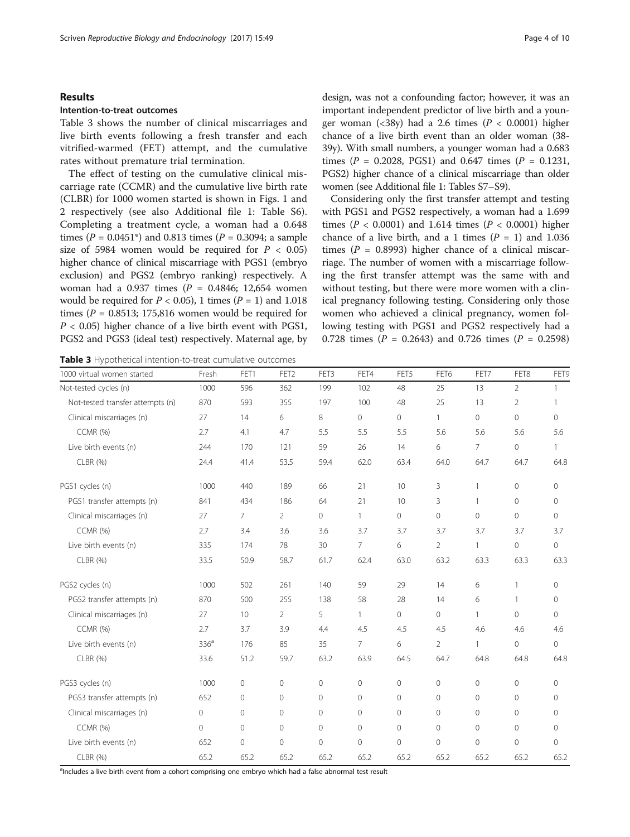### Results

### Intention-to-treat outcomes

Table 3 shows the number of clinical miscarriages and live birth events following a fresh transfer and each vitrified-warmed (FET) attempt, and the cumulative rates without premature trial termination.

The effect of testing on the cumulative clinical miscarriage rate (CCMR) and the cumulative live birth rate (CLBR) for 1000 women started is shown in Figs. [1](#page-4-0) and [2](#page-4-0) respectively (see also Additional file [1:](#page-8-0) Table S6). Completing a treatment cycle, a woman had a 0.648 times ( $P = 0.0451^*$ ) and 0.813 times ( $P = 0.3094$ ; a sample size of 5984 women would be required for  $P < 0.05$ ) higher chance of clinical miscarriage with PGS1 (embryo exclusion) and PGS2 (embryo ranking) respectively. A woman had a 0.937 times ( $P = 0.4846$ ; 12,654 women would be required for  $P < 0.05$ ), 1 times ( $P = 1$ ) and 1.018 times ( $P = 0.8513$ ; 175,816 women would be required for  $P < 0.05$ ) higher chance of a live birth event with PGS1, PGS2 and PGS3 (ideal test) respectively. Maternal age, by

design, was not a confounding factor; however, it was an important independent predictor of live birth and a younger woman  $\langle$  <38y) had a 2.6 times ( $P$  < 0.0001) higher chance of a live birth event than an older woman (38- 39y). With small numbers, a younger woman had a 0.683 times ( $P = 0.2028$ , PGS1) and 0.647 times ( $P = 0.1231$ , PGS2) higher chance of a clinical miscarriage than older women (see Additional file [1](#page-8-0): Tables S7–S9).

Considering only the first transfer attempt and testing with PGS1 and PGS2 respectively, a woman had a 1.699 times ( $P < 0.0001$ ) and 1.614 times ( $P < 0.0001$ ) higher chance of a live birth, and a 1 times  $(P = 1)$  and 1.036 times ( $P = 0.8993$ ) higher chance of a clinical miscarriage. The number of women with a miscarriage following the first transfer attempt was the same with and without testing, but there were more women with a clinical pregnancy following testing. Considering only those women who achieved a clinical pregnancy, women following testing with PGS1 and PGS2 respectively had a 0.728 times ( $P = 0.2643$ ) and 0.726 times ( $P = 0.2598$ )

Table 3 Hypothetical intention-to-treat cumulative outcomes

| 1000 virtual women started       | Fresh            | FET1           | FET2                | FET3                | FET4           | FET5         | FET6           | FET7           | FET8           | FET9         |
|----------------------------------|------------------|----------------|---------------------|---------------------|----------------|--------------|----------------|----------------|----------------|--------------|
| Not-tested cycles (n)            | 1000             | 596            | 362                 | 199                 | 102            | 48           | 25             | 13             | $\overline{2}$ | $\mathbf{1}$ |
| Not-tested transfer attempts (n) | 870              | 593            | 355                 | 197                 | 100            | 48           | 25             | 13             | $\overline{2}$ | 1            |
| Clinical miscarriages (n)        | 27               | 14             | 6                   | 8                   | 0              | $\circ$      | $\mathbf{1}$   | $\circ$        | 0              | 0            |
| CCMR (%)                         | 2.7              | 4.1            | 4.7                 | 5.5                 | 5.5            | 5.5          | 5.6            | 5.6            | 5.6            | 5.6          |
| Live birth events (n)            | 244              | 170            | 121                 | 59                  | 26             | 14           | 6              | $\overline{7}$ | $\circ$        | 1            |
| CLBR (%)                         | 24.4             | 41.4           | 53.5                | 59.4                | 62.0           | 63.4         | 64.0           | 64.7           | 64.7           | 64.8         |
| PGS1 cycles (n)                  | 1000             | 440            | 189                 | 66                  | 21             | 10           | 3              | $\mathbf{1}$   | 0              | $\mathbf{0}$ |
| PGS1 transfer attempts (n)       | 841              | 434            | 186                 | 64                  | 21             | 10           | 3              | $\mathbf{1}$   | 0              | $\mathbf{0}$ |
| Clinical miscarriages (n)        | 27               | $\overline{7}$ | $\overline{2}$      | 0                   | $\mathbf{1}$   | $\mathbf 0$  | $\mathbf 0$    | $\overline{0}$ | 0              | 0            |
| <b>CCMR (%)</b>                  | 2.7              | 3.4            | 3.6                 | 3.6                 | 3.7            | 3.7          | 3.7            | 3.7            | 3.7            | 3.7          |
| Live birth events (n)            | 335              | 174            | 78                  | 30                  | 7              | 6            | 2              | $\mathbf{1}$   | 0              | 0            |
| CLBR (%)                         | 33.5             | 50.9           | 58.7                | 61.7                | 62.4           | 63.0         | 63.2           | 63.3           | 63.3           | 63.3         |
| PGS2 cycles (n)                  | 1000             | 502            | 261                 | 140                 | 59             | 29           | 14             | 6              |                | $\mathbf{0}$ |
| PGS2 transfer attempts (n)       | 870              | 500            | 255                 | 138                 | 58             | 28           | 14             | 6              | 1              | 0            |
| Clinical miscarriages (n)        | 27               | 10             | 2                   | 5                   | $\mathbf{1}$   | $\circ$      | $\mathbf{0}$   | $\mathbf{1}$   | 0              | $\circ$      |
| CCMR (%)                         | 2.7              | 3.7            | 3.9                 | 4.4                 | 4.5            | 4.5          | 4.5            | 4.6            | 4.6            | 4.6          |
| Live birth events (n)            | 336 <sup>a</sup> | 176            | 85                  | 35                  | $\overline{7}$ | 6            | $\overline{2}$ | $\mathbf{1}$   | 0              | 0            |
| CLBR (%)                         | 33.6             | 51.2           | 59.7                | 63.2                | 63.9           | 64.5         | 64.7           | 64.8           | 64.8           | 64.8         |
| PGS3 cycles (n)                  | 1000             | $\mathbf{0}$   | $\circ$             | 0                   | $\circ$        | $\mathbf{0}$ | $\mathbf{0}$   | 0              | 0              | $\mathbf{0}$ |
| PGS3 transfer attempts (n)       | 652              | 0              | $\circ$             | $\circ$             | $\circ$        | $\mathbf{0}$ | $\mathbf{0}$   | 0              | 0              | 0            |
| Clinical miscarriages (n)        | $\circ$          | 0              | $\circ$             | $\mathsf{O}\xspace$ | $\mathbf 0$    | $\mathbf{0}$ | $\Omega$       | $\mathbf 0$    | $\Omega$       | $\mathbf{0}$ |
| CCMR (%)                         | $\circ$          | $\mathbf{0}$   | 0                   | $\mathbf 0$         | 0              | $\mathbf 0$  | $\mathbf{0}$   | 0              | 0              | $\mathbf{0}$ |
| Live birth events (n)            | 652              | $\mathbf{0}$   | $\mathsf{O}\xspace$ | $\mathbf 0$         | 0              | $\mathbf 0$  | $\mathbf 0$    | $\mathbf 0$    | 0              | $\mathbf 0$  |
| CLBR (%)                         | 65.2             | 65.2           | 65.2                | 65.2                | 65.2           | 65.2         | 65.2           | 65.2           | 65.2           | 65.2         |

<sup>a</sup>Includes a live birth event from a cohort comprising one embryo which had a false abnormal test result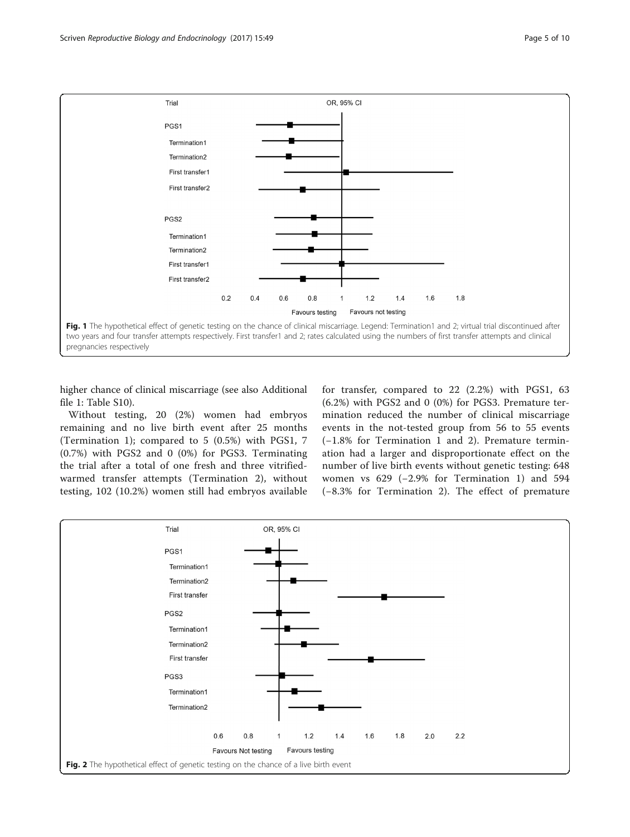<span id="page-4-0"></span>

higher chance of clinical miscarriage (see also Additional file [1:](#page-8-0) Table S10).

Without testing, 20 (2%) women had embryos remaining and no live birth event after 25 months (Termination 1); compared to 5 (0.5%) with PGS1, 7 (0.7%) with PGS2 and 0 (0%) for PGS3. Terminating the trial after a total of one fresh and three vitrifiedwarmed transfer attempts (Termination 2), without testing, 102 (10.2%) women still had embryos available for transfer, compared to 22 (2.2%) with PGS1, 63 (6.2%) with PGS2 and 0 (0%) for PGS3. Premature termination reduced the number of clinical miscarriage events in the not-tested group from 56 to 55 events (−1.8% for Termination 1 and 2). Premature termination had a larger and disproportionate effect on the number of live birth events without genetic testing: 648 women vs 629 (−2.9% for Termination 1) and 594 (−8.3% for Termination 2). The effect of premature

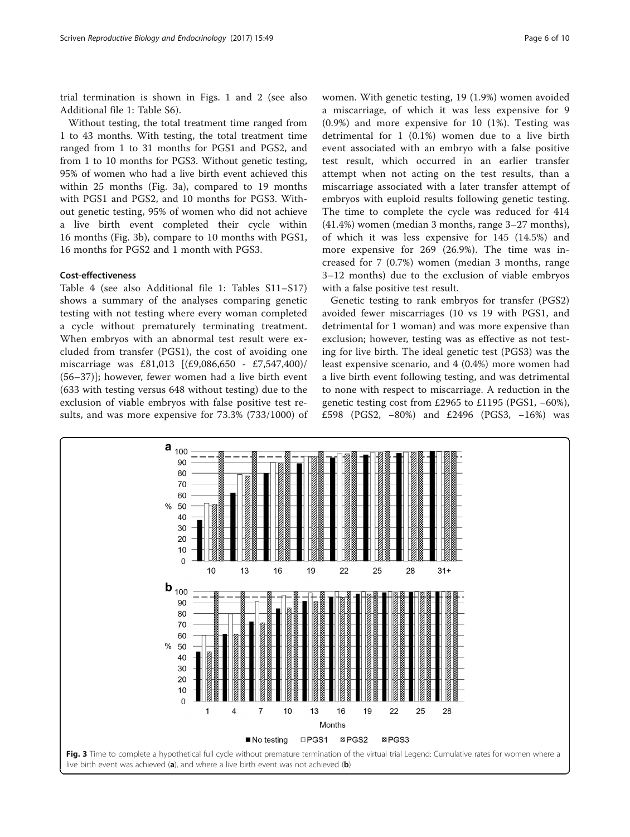trial termination is shown in Figs. [1](#page-4-0) and [2](#page-4-0) (see also Additional file [1:](#page-8-0) Table S6).

Without testing, the total treatment time ranged from 1 to 43 months. With testing, the total treatment time ranged from 1 to 31 months for PGS1 and PGS2, and from 1 to 10 months for PGS3. Without genetic testing, 95% of women who had a live birth event achieved this within 25 months (Fig. 3a), compared to 19 months with PGS1 and PGS2, and 10 months for PGS3. Without genetic testing, 95% of women who did not achieve a live birth event completed their cycle within 16 months (Fig. 3b), compare to 10 months with PGS1, 16 months for PGS2 and 1 month with PGS3.

### Cost-effectiveness

Table [4](#page-6-0) (see also Additional file [1](#page-8-0): Tables S11–S17) shows a summary of the analyses comparing genetic testing with not testing where every woman completed a cycle without prematurely terminating treatment. When embryos with an abnormal test result were excluded from transfer (PGS1), the cost of avoiding one miscarriage was £81,013 [(£9,086,650 - £7,547,400)/ (56–37)]; however, fewer women had a live birth event (633 with testing versus 648 without testing) due to the exclusion of viable embryos with false positive test results, and was more expensive for 73.3% (733/1000) of women. With genetic testing, 19 (1.9%) women avoided a miscarriage, of which it was less expensive for 9 (0.9%) and more expensive for 10 (1%). Testing was detrimental for 1 (0.1%) women due to a live birth event associated with an embryo with a false positive test result, which occurred in an earlier transfer attempt when not acting on the test results, than a miscarriage associated with a later transfer attempt of embryos with euploid results following genetic testing. The time to complete the cycle was reduced for 414 (41.4%) women (median 3 months, range 3–27 months), of which it was less expensive for 145 (14.5%) and more expensive for 269 (26.9%). The time was increased for 7 (0.7%) women (median 3 months, range 3–12 months) due to the exclusion of viable embryos with a false positive test result.

Genetic testing to rank embryos for transfer (PGS2) avoided fewer miscarriages (10 vs 19 with PGS1, and detrimental for 1 woman) and was more expensive than exclusion; however, testing was as effective as not testing for live birth. The ideal genetic test (PGS3) was the least expensive scenario, and 4 (0.4%) more women had a live birth event following testing, and was detrimental to none with respect to miscarriage. A reduction in the genetic testing cost from £2965 to £1195 (PGS1, −60%), £598 (PGS2, −80%) and £2496 (PGS3, −16%) was

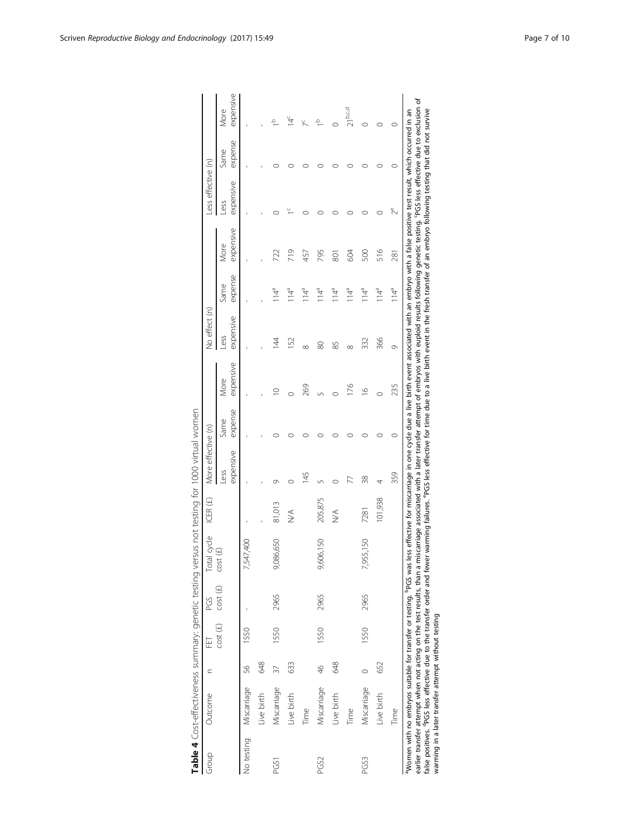<span id="page-6-0"></span>

| Group | Outcome                                                                                                                                                                                                                                                                                                                                                                                                                                                                                                                                                                                                                                                                                                                                     | $\subseteq$    | .<br>또   | PGS      | Total cycle | ICER (£)   | More effective (n) |         |               | No effect (n) |                   |           | Less effective (n) |         |              |
|-------|---------------------------------------------------------------------------------------------------------------------------------------------------------------------------------------------------------------------------------------------------------------------------------------------------------------------------------------------------------------------------------------------------------------------------------------------------------------------------------------------------------------------------------------------------------------------------------------------------------------------------------------------------------------------------------------------------------------------------------------------|----------------|----------|----------|-------------|------------|--------------------|---------|---------------|---------------|-------------------|-----------|--------------------|---------|--------------|
|       |                                                                                                                                                                                                                                                                                                                                                                                                                                                                                                                                                                                                                                                                                                                                             |                | cost (£) | cost (£) | cost (£)    |            | Less               | Same    | More          | Less          | Same              | More      | Less               | Same    | More         |
|       |                                                                                                                                                                                                                                                                                                                                                                                                                                                                                                                                                                                                                                                                                                                                             |                |          |          |             |            | expensive          | expense | expensive     | expensive     | expense           | expensive | expensive          | expense | expensive    |
|       | No testing Miscarriage                                                                                                                                                                                                                                                                                                                                                                                                                                                                                                                                                                                                                                                                                                                      | 56             | 550      |          | 7,547,400   |            |                    |         |               |               |                   |           |                    |         |              |
|       | Live birth                                                                                                                                                                                                                                                                                                                                                                                                                                                                                                                                                                                                                                                                                                                                  | 648            |          |          |             |            |                    |         |               |               |                   |           |                    |         |              |
| PGS1  | Miscarriage                                                                                                                                                                                                                                                                                                                                                                                                                                                                                                                                                                                                                                                                                                                                 | 37             | 1550     | 2965     | 9,086,650   | 81,013     | σ                  |         | $\supseteq$   | 4             | 114ª              | 722       |                    |         | Ω            |
|       | Live birth                                                                                                                                                                                                                                                                                                                                                                                                                                                                                                                                                                                                                                                                                                                                  | 633            |          |          |             | $\lessgtr$ |                    |         |               | 152           | $\overline{11^6}$ | 719       |                    |         | ₹            |
|       | Time                                                                                                                                                                                                                                                                                                                                                                                                                                                                                                                                                                                                                                                                                                                                        |                |          |          |             |            | $\frac{45}{5}$     |         | 269           | $\infty$      | $\frac{1}{4}$     | 45,       |                    |         |              |
| PGS2  | Miscarriage                                                                                                                                                                                                                                                                                                                                                                                                                                                                                                                                                                                                                                                                                                                                 | $\frac{46}{5}$ | 1550     | 2965     | 9,606,150   | 205,875    |                    |         | 5             | 8             | $114^a$           | 795       |                    |         | $\circ$      |
|       | Live birth                                                                                                                                                                                                                                                                                                                                                                                                                                                                                                                                                                                                                                                                                                                                  | 648            |          |          |             | $\lessgtr$ | ⌒                  |         |               | 85            | $\overline{11^6}$ | 501       |                    |         |              |
|       | Time                                                                                                                                                                                                                                                                                                                                                                                                                                                                                                                                                                                                                                                                                                                                        |                |          |          |             |            |                    |         | 176           | $\infty$      | 11 <sup>d</sup>   | 604       |                    |         | $21^{b,c,d}$ |
| PGS3  | Miscarriage                                                                                                                                                                                                                                                                                                                                                                                                                                                                                                                                                                                                                                                                                                                                 |                | 1550     | 2965     | 7,955,150   | 7281       | 38                 |         | $\frac{6}{1}$ | 332           | $114^a$           | 500       |                    |         |              |
|       | Live birth                                                                                                                                                                                                                                                                                                                                                                                                                                                                                                                                                                                                                                                                                                                                  | 652            |          |          |             | 101,938    |                    |         | ⌒             | 366           | $114^a$           | 516       |                    |         |              |
|       | Time                                                                                                                                                                                                                                                                                                                                                                                                                                                                                                                                                                                                                                                                                                                                        |                |          |          |             |            | 359                | O       | 235           | 0             | $114^a$           | 281       | Å                  | O       |              |
|       | earlier transfer attempt when not acting on the test results, than a miscarriage associated with a later transfer attempt of embryos with euploid results following genetic testing. 'PGS less effective due to exclusion of<br>false positives. "PGS less effective due to the transfer order and fewer warming failures. "PGS less effective for time due to a live birth event in the fresh transfer of an embryo following testing that did not survive<br>Women with no embryos suitable for transfer or testing. PPGS was less effective for miscarriage in one cycle due a live birth event associated with an embryo with a false positive test result, which occurred in an<br>warming in a later transfer attempt without testing |                |          |          |             |            |                    |         |               |               |                   |           |                    |         |              |

Table 4 Cost-effectiveness summary: genetic testing versus not testing for 1000 virtual women

Table 4 Cost-effectiveness summary: genetic testing versus not testing for 1000 virtual women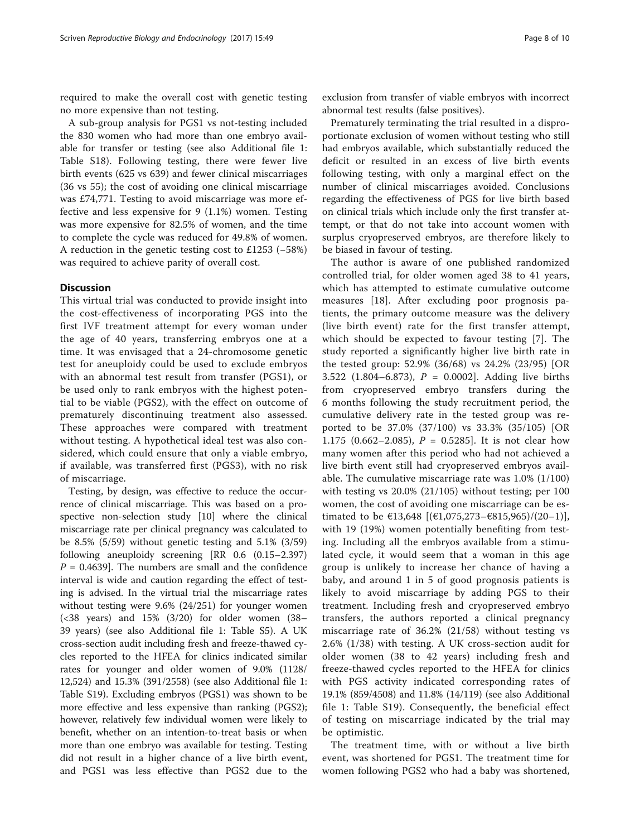required to make the overall cost with genetic testing no more expensive than not testing.

A sub-group analysis for PGS1 vs not-testing included the 830 women who had more than one embryo available for transfer or testing (see also Additional file [1](#page-8-0): Table S18). Following testing, there were fewer live birth events (625 vs 639) and fewer clinical miscarriages (36 vs 55); the cost of avoiding one clinical miscarriage was £74,771. Testing to avoid miscarriage was more effective and less expensive for 9 (1.1%) women. Testing was more expensive for 82.5% of women, and the time to complete the cycle was reduced for 49.8% of women. A reduction in the genetic testing cost to £1253 (−58%) was required to achieve parity of overall cost.

### **Discussion**

This virtual trial was conducted to provide insight into the cost-effectiveness of incorporating PGS into the first IVF treatment attempt for every woman under the age of 40 years, transferring embryos one at a time. It was envisaged that a 24-chromosome genetic test for aneuploidy could be used to exclude embryos with an abnormal test result from transfer (PGS1), or be used only to rank embryos with the highest potential to be viable (PGS2), with the effect on outcome of prematurely discontinuing treatment also assessed. These approaches were compared with treatment without testing. A hypothetical ideal test was also considered, which could ensure that only a viable embryo, if available, was transferred first (PGS3), with no risk of miscarriage.

Testing, by design, was effective to reduce the occurrence of clinical miscarriage. This was based on a prospective non-selection study [\[10](#page-9-0)] where the clinical miscarriage rate per clinical pregnancy was calculated to be 8.5% (5/59) without genetic testing and 5.1% (3/59) following aneuploidy screening [RR 0.6 (0.15–2.397)  $P = 0.4639$ . The numbers are small and the confidence interval is wide and caution regarding the effect of testing is advised. In the virtual trial the miscarriage rates without testing were 9.6% (24/251) for younger women  $\left( < 38$  years) and 15%  $\left( 3/20 \right)$  for older women  $\left( 38 -$ 39 years) (see also Additional file [1](#page-8-0): Table S5). A UK cross-section audit including fresh and freeze-thawed cycles reported to the HFEA for clinics indicated similar rates for younger and older women of 9.0% (1128/ 12,524) and 15.3% (391/2558) (see also Additional file [1](#page-8-0): Table S19). Excluding embryos (PGS1) was shown to be more effective and less expensive than ranking (PGS2); however, relatively few individual women were likely to benefit, whether on an intention-to-treat basis or when more than one embryo was available for testing. Testing did not result in a higher chance of a live birth event, and PGS1 was less effective than PGS2 due to the abnormal test results (false positives). Prematurely terminating the trial resulted in a disproportionate exclusion of women without testing who still had embryos available, which substantially reduced the deficit or resulted in an excess of live birth events following testing, with only a marginal effect on the number of clinical miscarriages avoided. Conclusions regarding the effectiveness of PGS for live birth based on clinical trials which include only the first transfer attempt, or that do not take into account women with surplus cryopreserved embryos, are therefore likely to be biased in favour of testing.

The author is aware of one published randomized controlled trial, for older women aged 38 to 41 years, which has attempted to estimate cumulative outcome measures [[18\]](#page-9-0). After excluding poor prognosis patients, the primary outcome measure was the delivery (live birth event) rate for the first transfer attempt, which should be expected to favour testing [\[7\]](#page-9-0). The study reported a significantly higher live birth rate in the tested group: 52.9% (36/68) vs 24.2% (23/95) [OR 3.522 (1.804–6.873), P = 0.0002]. Adding live births from cryopreserved embryo transfers during the 6 months following the study recruitment period, the cumulative delivery rate in the tested group was reported to be 37.0% (37/100) vs 33.3% (35/105) [OR 1.175 (0.662–2.085),  $P = 0.5285$ . It is not clear how many women after this period who had not achieved a live birth event still had cryopreserved embryos available. The cumulative miscarriage rate was 1.0% (1/100) with testing vs 20.0% (21/105) without testing; per 100 women, the cost of avoiding one miscarriage can be estimated to be €13,648 [(€1,075,273–€815,965)/(20–1)], with 19 (19%) women potentially benefiting from testing. Including all the embryos available from a stimulated cycle, it would seem that a woman in this age group is unlikely to increase her chance of having a baby, and around 1 in 5 of good prognosis patients is likely to avoid miscarriage by adding PGS to their treatment. Including fresh and cryopreserved embryo transfers, the authors reported a clinical pregnancy miscarriage rate of 36.2% (21/58) without testing vs 2.6% (1/38) with testing. A UK cross-section audit for older women (38 to 42 years) including fresh and freeze-thawed cycles reported to the HFEA for clinics with PGS activity indicated corresponding rates of 19.1% (859/4508) and 11.8% (14/119) (see also Additional file [1](#page-8-0): Table S19). Consequently, the beneficial effect of testing on miscarriage indicated by the trial may be optimistic.

The treatment time, with or without a live birth event, was shortened for PGS1. The treatment time for women following PGS2 who had a baby was shortened,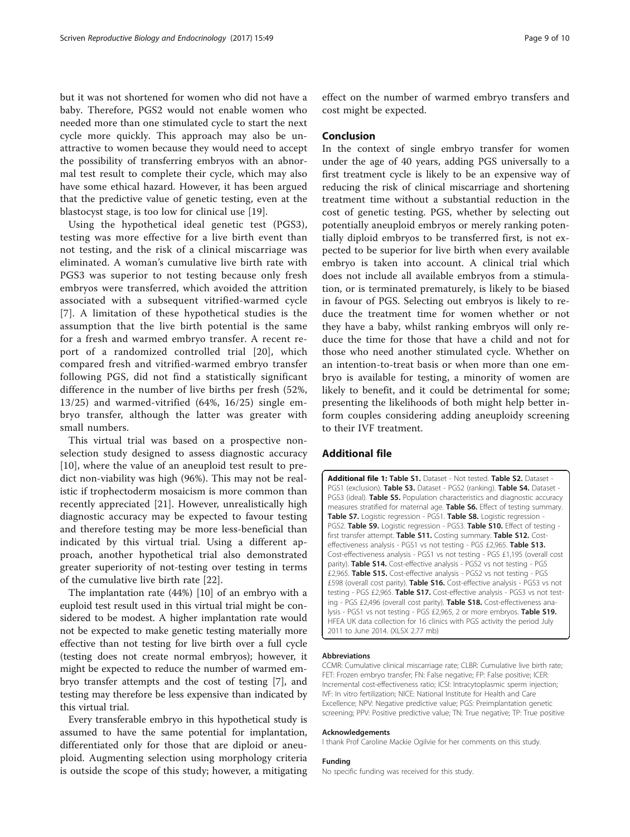<span id="page-8-0"></span>but it was not shortened for women who did not have a baby. Therefore, PGS2 would not enable women who needed more than one stimulated cycle to start the next cycle more quickly. This approach may also be unattractive to women because they would need to accept the possibility of transferring embryos with an abnormal test result to complete their cycle, which may also have some ethical hazard. However, it has been argued that the predictive value of genetic testing, even at the blastocyst stage, is too low for clinical use [[19\]](#page-9-0).

Using the hypothetical ideal genetic test (PGS3), testing was more effective for a live birth event than not testing, and the risk of a clinical miscarriage was eliminated. A woman's cumulative live birth rate with PGS3 was superior to not testing because only fresh embryos were transferred, which avoided the attrition associated with a subsequent vitrified-warmed cycle [[7](#page-9-0)]. A limitation of these hypothetical studies is the assumption that the live birth potential is the same for a fresh and warmed embryo transfer. A recent report of a randomized controlled trial [[20\]](#page-9-0), which compared fresh and vitrified-warmed embryo transfer following PGS, did not find a statistically significant difference in the number of live births per fresh (52%, 13/25) and warmed-vitrified (64%, 16/25) single embryo transfer, although the latter was greater with small numbers.

This virtual trial was based on a prospective nonselection study designed to assess diagnostic accuracy [[10\]](#page-9-0), where the value of an aneuploid test result to predict non-viability was high (96%). This may not be realistic if trophectoderm mosaicism is more common than recently appreciated [[21](#page-9-0)]. However, unrealistically high diagnostic accuracy may be expected to favour testing and therefore testing may be more less-beneficial than indicated by this virtual trial. Using a different approach, another hypothetical trial also demonstrated greater superiority of not-testing over testing in terms of the cumulative live birth rate [\[22](#page-9-0)].

The implantation rate (44%) [[10\]](#page-9-0) of an embryo with a euploid test result used in this virtual trial might be considered to be modest. A higher implantation rate would not be expected to make genetic testing materially more effective than not testing for live birth over a full cycle (testing does not create normal embryos); however, it might be expected to reduce the number of warmed embryo transfer attempts and the cost of testing [[7\]](#page-9-0), and testing may therefore be less expensive than indicated by this virtual trial.

Every transferable embryo in this hypothetical study is assumed to have the same potential for implantation, differentiated only for those that are diploid or aneuploid. Augmenting selection using morphology criteria is outside the scope of this study; however, a mitigating

effect on the number of warmed embryo transfers and cost might be expected.

### Conclusion

In the context of single embryo transfer for women under the age of 40 years, adding PGS universally to a first treatment cycle is likely to be an expensive way of reducing the risk of clinical miscarriage and shortening treatment time without a substantial reduction in the cost of genetic testing. PGS, whether by selecting out potentially aneuploid embryos or merely ranking potentially diploid embryos to be transferred first, is not expected to be superior for live birth when every available embryo is taken into account. A clinical trial which does not include all available embryos from a stimulation, or is terminated prematurely, is likely to be biased in favour of PGS. Selecting out embryos is likely to reduce the treatment time for women whether or not they have a baby, whilst ranking embryos will only reduce the time for those that have a child and not for those who need another stimulated cycle. Whether on an intention-to-treat basis or when more than one embryo is available for testing, a minority of women are likely to benefit, and it could be detrimental for some; presenting the likelihoods of both might help better inform couples considering adding aneuploidy screening to their IVF treatment.

### Additional file

[Additional file 1:](dx.doi.org/10.1186/s12958-017-0269-y) Table S1. Dataset - Not tested. Table S2. Dataset -PGS1 (exclusion). Table S3. Dataset - PGS2 (ranking). Table S4. Dataset -PGS3 (ideal). **Table S5.** Population characteristics and diagnostic accuracy measures stratified for maternal age. Table S6. Effect of testing summary Table S7. Logistic regression - PGS1. Table S8. Logistic regression -PGS2. Table S9. Logistic regression - PGS3. Table S10. Effect of testing first transfer attempt. Table S11. Costing summary. Table S12. Costeffectiveness analysis - PGS1 vs not testing - PGS £2,965. Table S13. Cost-effectiveness analysis - PGS1 vs not testing - PGS £1,195 (overall cost parity). Table S14. Cost-effective analysis - PGS2 vs not testing - PGS £2,965. Table S15. Cost-effective analysis - PGS2 vs not testing - PGS £598 (overall cost parity). Table S16. Cost-effective analysis - PGS3 vs not testing - PGS £2,965. Table S17. Cost-effective analysis - PGS3 vs not testing - PGS £2,496 (overall cost parity). Table S18. Cost-effectiveness analysis - PGS1 vs not testing - PGS £2,965, 2 or more embryos. Table S19. HFEA UK data collection for 16 clinics with PGS activity the period July 2011 to June 2014. (XLSX 2.77 mb)

#### Abbreviations

CCMR: Cumulative clinical miscarriage rate; CLBR: Cumulative live birth rate; FET: Frozen embryo transfer; FN: False negative; FP: False positive; ICER: Incremental cost-effectiveness ratio; ICSI: Intracytoplasmic sperm injection; IVF: In vitro fertilization; NICE: National Institute for Health and Care Excellence; NPV: Negative predictive value; PGS: Preimplantation genetic screening; PPV: Positive predictive value; TN: True negative; TP: True positive

### Acknowledgements

I thank Prof Caroline Mackie Ogilvie for her comments on this study.

## Funding

No specific funding was received for this study.